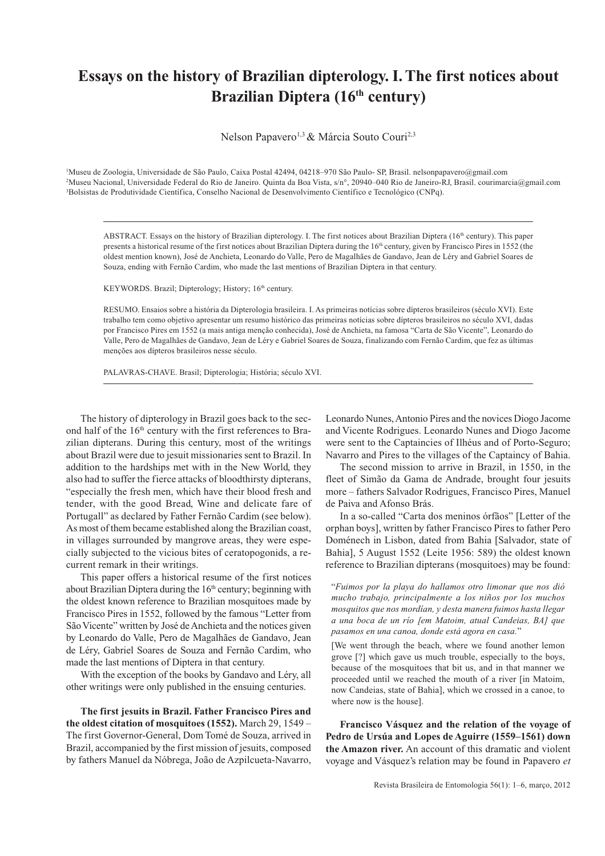## **Essays on the history of Brazilian dipterology. I. The first notices about Brazilian Diptera (16<sup>th</sup> century)**

Nelson Papavero<sup>1,3</sup> & Márcia Souto Couri<sup>2,3</sup>

1 Museu de Zoologia, Universidade de São Paulo, Caixa Postal 42494, 04218–970 São Paulo- SP, Brasil. nelsonpapavero@gmail.com 2 Museu Nacional, Universidade Federal do Rio de Janeiro. Quinta da Boa Vista, s/n°, 20940–040 Rio de Janeiro-RJ, Brasil. courimarcia@gmail.com 3 Bolsistas de Produtividade Científica, Conselho Nacional de Desenvolvimento Científico e Tecnológico (CNPq).

ABSTRACT. Essays on the history of Brazilian dipterology. I. The first notices about Brazilian Diptera (16<sup>th</sup> century). This paper presents a historical resume of the first notices about Brazilian Diptera during the 16<sup>th</sup> century, given by Francisco Pires in 1552 (the oldest mention known), José de Anchieta, Leonardo do Valle, Pero de Magalhães de Gandavo, Jean de Léry and Gabriel Soares de Souza, ending with Fernão Cardim, who made the last mentions of Brazilian Diptera in that century.

KEYWORDS. Brazil; Dipterology; History; 16<sup>th</sup> century.

RESUMO. Ensaios sobre a história da Dipterologia brasileira. I. As primeiras notícias sobre dípteros brasileiros (século XVI). Este trabalho tem como objetivo apresentar um resumo histórico das primeiras notícias sobre dípteros brasileiros no século XVI, dadas por Francisco Pires em 1552 (a mais antiga menção conhecida), José de Anchieta, na famosa "Carta de São Vicente", Leonardo do Valle, Pero de Magalhães de Gandavo, Jean de Léry e Gabriel Soares de Souza, finalizando com Fernão Cardim, que fez as últimas menções aos dípteros brasileiros nesse século.

PALAVRAS-CHAVE. Brasil; Dipterologia; História; século XVI.

The history of dipterology in Brazil goes back to the second half of the  $16<sup>th</sup>$  century with the first references to Brazilian dipterans. During this century, most of the writings about Brazil were due to jesuit missionaries sent to Brazil. In addition to the hardships met with in the New World, they also had to suffer the fierce attacks of bloodthirsty dipterans, "especially the fresh men, which have their blood fresh and tender, with the good Bread, Wine and delicate fare of Portugall" as declared by Father Fernão Cardim (see below). As most of them became established along the Brazilian coast, in villages surrounded by mangrove areas, they were especially subjected to the vicious bites of ceratopogonids, a recurrent remark in their writings.

This paper offers a historical resume of the first notices about Brazilian Diptera during the  $16<sup>th</sup>$  century; beginning with the oldest known reference to Brazilian mosquitoes made by Francisco Pires in 1552, followed by the famous "Letter from São Vicente" written by José de Anchieta and the notices given by Leonardo do Valle, Pero de Magalhães de Gandavo, Jean de Léry, Gabriel Soares de Souza and Fernão Cardim, who made the last mentions of Diptera in that century.

With the exception of the books by Gandavo and Léry, all other writings were only published in the ensuing centuries.

**The first jesuits in Brazil. Father Francisco Pires and the oldest citation of mosquitoes (1552).** March 29, 1549 – The first Governor-General, Dom Tomé de Souza, arrived in Brazil, accompanied by the first mission of jesuits, composed by fathers Manuel da Nóbrega, João de Azpilcueta-Navarro,

Leonardo Nunes, Antonio Pires and the novices Diogo Jacome and Vicente Rodrigues. Leonardo Nunes and Diogo Jacome were sent to the Captaincies of Ilhéus and of Porto-Seguro; Navarro and Pires to the villages of the Captaincy of Bahia.

The second mission to arrive in Brazil, in 1550, in the fleet of Simão da Gama de Andrade, brought four jesuits more – fathers Salvador Rodrigues, Francisco Pires, Manuel de Paiva and Afonso Brás.

In a so-called "Carta dos meninos órfãos" [Letter of the orphan boys], written by father Francisco Pires to father Pero Doménech in Lisbon, dated from Bahia [Salvador, state of Bahia], 5 August 1552 (Leite 1956: 589) the oldest known reference to Brazilian dipterans (mosquitoes) may be found:

"*Fuimos por la playa do hallamos otro limonar que nos dió mucho trabajo, principalmente a los niños por los muchos mosquitos que nos mordían, y desta manera fuimos hasta llegar a una boca de un río [em Matoim, atual Candeias, BA] que pasamos en una canoa, donde está agora en casa.*"

[We went through the beach, where we found another lemon grove [?] which gave us much trouble, especially to the boys, because of the mosquitoes that bit us, and in that manner we proceeded until we reached the mouth of a river [in Matoim, now Candeias, state of Bahia], which we crossed in a canoe, to where now is the house].

**Francisco Vásquez and the relation of the voyage of Pedro de Ursúa and Lopes de Aguirre (1559–1561) down the Amazon river.** An account of this dramatic and violent voyage and Vásquez's relation may be found in Papavero *et*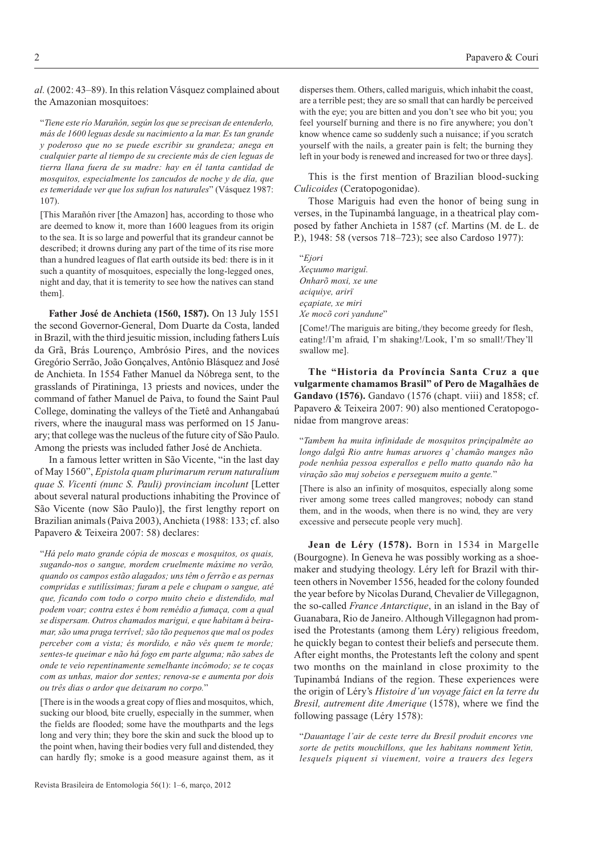*al.* (2002: 43–89). In this relation Vásquez complained about the Amazonian mosquitoes:

"*Tiene este río Marañón, según los que se precisan de entenderlo, más de 1600 leguas desde su nacimiento a la mar. Es tan grande y poderoso que no se puede escribir su grandeza; anega en cualquier parte al tiempo de su creciente más de cien leguas de tierra llana fuera de su madre: hay en él tanta cantidad de mosquitos, especialmente los zancudos de noche y de día, que es temeridade ver que los sufran los naturales*" (Vásquez 1987: 107).

[This Marañón river [the Amazon] has, according to those who are deemed to know it, more than 1600 leagues from its origin to the sea. It is so large and powerful that its grandeur cannot be described; it drowns during any part of the time of its rise more than a hundred leagues of flat earth outside its bed: there is in it such a quantity of mosquitoes, especially the long-legged ones, night and day, that it is temerity to see how the natives can stand them].

**Father José de Anchieta (1560, 1587).** On 13 July 1551 the second Governor-General, Dom Duarte da Costa, landed in Brazil, with the third jesuitic mission, including fathers Luís da Grã, Brás Lourenço, Ambrósio Pires, and the novices Gregório Serrão, João Gonçalves, Antônio Blásquez and José de Anchieta. In 1554 Father Manuel da Nóbrega sent, to the grasslands of Piratininga, 13 priests and novices, under the command of father Manuel de Paiva, to found the Saint Paul College, dominating the valleys of the Tietê and Anhangabaú rivers, where the inaugural mass was performed on 15 January; that college was the nucleus of the future city of São Paulo. Among the priests was included father José de Anchieta.

In a famous letter written in São Vicente, "in the last day of May 1560", *Epistola quam plurimarum rerum naturalium quae S. Vicenti (nunc S. Pauli) provinciam incolunt* [Letter about several natural productions inhabiting the Province of São Vicente (now São Paulo)], the first lengthy report on Brazilian animals (Paiva 2003), Anchieta (1988: 133; cf. also Papavero & Teixeira 2007: 58) declares:

"*Há pelo mato grande cópia de moscas e mosquitos, os quais, sugando-nos o sangue, mordem cruelmente máxime no verão, quando os campos estão alagados; uns têm o ferrão e as pernas compridas e sutilíssimas; furam a pele e chupam o sangue, até que, ficando com todo o corpo muito cheio e distendido, mal podem voar; contra estes é bom remédio a fumaça, com a qual se dispersam. Outros chamados marigui, e que habitam à beiramar, são uma praga terrível; são tão pequenos que mal os podes perceber com a vista; és mordido, e não vês quem te morde; sentes-te queimar e não há fogo em parte alguma; não sabes de onde te veio repentinamente semelhante incômodo; se te coças com as unhas, maior dor sentes; renova-se e aumenta por dois ou três dias o ardor que deixaram no corpo.*"

[There is in the woods a great copy of flies and mosquitos, which, sucking our blood, bite cruelly, especially in the summer, when the fields are flooded; some have the mouthparts and the legs long and very thin; they bore the skin and suck the blood up to the point when, having their bodies very full and distended, they can hardly fly; smoke is a good measure against them, as it disperses them. Others, called mariguis, which inhabit the coast, are a terrible pest; they are so small that can hardly be perceived with the eye; you are bitten and you don't see who bit you; you feel yourself burning and there is no fire anywhere; you don't know whence came so suddenly such a nuisance; if you scratch yourself with the nails, a greater pain is felt; the burning they left in your body is renewed and increased for two or three days].

This is the first mention of Brazilian blood-sucking *Culicoides* (Ceratopogonidae).

Those Mariguis had even the honor of being sung in verses, in the Tupinambá language, in a theatrical play composed by father Anchieta in 1587 (cf. Martins (M. de L. de P.), 1948: 58 (versos 718–723); see also Cardoso 1977):

"*Ejori Xeçuumo mariguî. Onharõ moxi, xe une aciquiye, arirï eçapiate, xe miri Xe mocõ cori yandune*"

[Come!/The mariguis are biting,/they become greedy for flesh, eating!/I'm afraid, I'm shaking!/Look, I'm so small!/They'll swallow me].

**The "Historia da Província Santa Cruz a que vulgarmente chamamos Brasil" of Pero de Magalhães de Gandavo (1576).** Gandavo (1576 (chapt. viii) and 1858; cf. Papavero & Teixeira 2007: 90) also mentioned Ceratopogonidae from mangrove areas:

"*Tambem ha muita infinidade de mosquitos prinçipalmête ao longo dalgû Rio antre humas aruores q' chamão manges não pode nenhûa pessoa esperallos e pello matto quando não ha viração são muj sobeios e perseguem muito a gente.*"

[There is also an infinity of mosquitos, especially along some river among some trees called mangroves; nobody can stand them, and in the woods, when there is no wind, they are very excessive and persecute people very much].

**Jean de Léry (1578).** Born in 1534 in Margelle (Bourgogne). In Geneva he was possibly working as a shoemaker and studying theology. Léry left for Brazil with thirteen others in November 1556, headed for the colony founded the year before by Nicolas Durand, Chevalier de Villegagnon, the so-called *France Antarctique*, in an island in the Bay of Guanabara, Rio de Janeiro. Although Villegagnon had promised the Protestants (among them Léry) religious freedom, he quickly began to contest their beliefs and persecute them. After eight months, the Protestants left the colony and spent two months on the mainland in close proximity to the Tupinambá Indians of the region. These experiences were the origin of Léry's *Histoire d'un voyage faict en la terre du Bresil, autrement dite Amerique* (1578), where we find the following passage (Léry 1578):

"*Dauantage l'air de ceste terre du Bresil produit encores vne sorte de petits mouchillons, que les habitans nomment Yetin, lesquels piquent si viuement, voire a trauers des legers*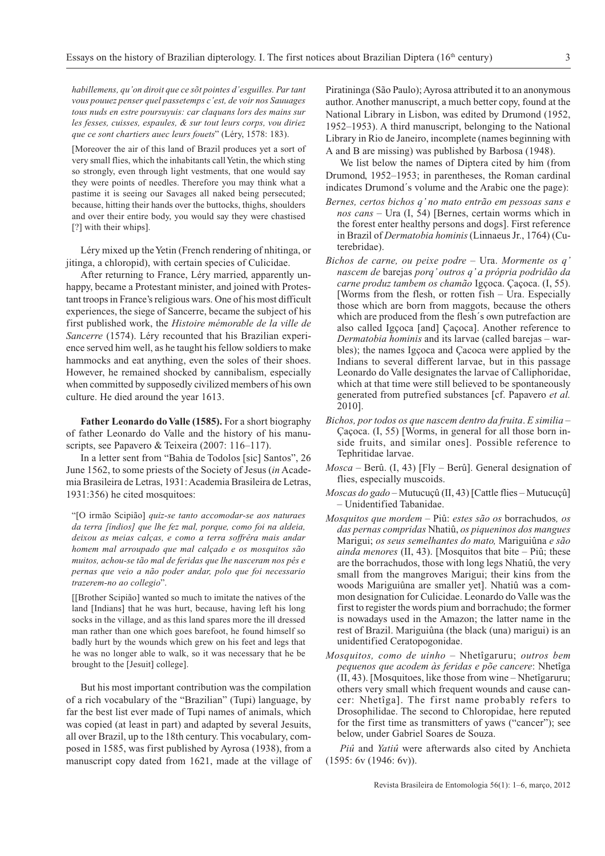*habillemens, qu'on diroit que ce sõt pointes d'esguilles. Par tant vous pouuez penser quel passetemps c'est, de voir nos Sauuages tous nuds en estre poursuyuis: car claquans lors des mains sur les fesses, cuisses, espaules, & sur tout leurs corps, vou diriez que ce sont chartiers auec leurs fouets*" (Léry, 1578: 183).

[Moreover the air of this land of Brazil produces yet a sort of very small flies, which the inhabitants call Yetin, the which sting so strongly, even through light vestments, that one would say they were points of needles. Therefore you may think what a pastime it is seeing our Savages all naked being persecuted; because, hitting their hands over the buttocks, thighs, shoulders and over their entire body, you would say they were chastised [?] with their whips].

Léry mixed up the Yetin (French rendering of nhitinga, or jitinga, a chloropid), with certain species of Culicidae.

After returning to France, Léry married, apparently unhappy, became a Protestant minister, and joined with Protestant troops in France's religious wars. One of his most difficult experiences, the siege of Sancerre, became the subject of his first published work, the *Histoire mémorable de la ville de Sancerre* (1574). Léry recounted that his Brazilian experience served him well, as he taught his fellow soldiers to make hammocks and eat anything, even the soles of their shoes. However, he remained shocked by cannibalism, especially when committed by supposedly civilized members of his own culture. He died around the year 1613.

**Father Leonardo do Valle (1585).** For a short biography of father Leonardo do Valle and the history of his manuscripts, see Papavero & Teixeira (2007: 116–117).

In a letter sent from "Bahia de Todolos [sic] Santos", 26 June 1562, to some priests of the Society of Jesus (*in* Academia Brasileira de Letras, 1931: Academia Brasileira de Letras, 1931:356) he cited mosquitoes:

"[O irmão Scipião] *quiz-se tanto accomodar-se aos naturaes da terra [índios] que lhe fez mal, porque, como foi na aldeia, deixou as meias calças, e como a terra soffrêra mais andar homem mal arroupado que mal calçado e os mosquitos são muitos, achou-se tão mal de feridas que lhe nasceram nos pés e pernas que veio a não poder andar, polo que foi necessario trazerem-no ao collegio*".

[[Brother Scipião] wanted so much to imitate the natives of the land [Indians] that he was hurt, because, having left his long socks in the village, and as this land spares more the ill dressed man rather than one which goes barefoot, he found himself so badly hurt by the wounds which grew on his feet and legs that he was no longer able to walk, so it was necessary that he be brought to the [Jesuit] college].

But his most important contribution was the compilation of a rich vocabulary of the "Brazilian" (Tupi) language, by far the best list ever made of Tupi names of animals, which was copied (at least in part) and adapted by several Jesuits, all over Brazil, up to the 18th century. This vocabulary, composed in 1585, was first published by Ayrosa (1938), from a manuscript copy dated from 1621, made at the village of

Piratininga (São Paulo); Ayrosa attributed it to an anonymous author. Another manuscript, a much better copy, found at the National Library in Lisbon, was edited by Drumond (1952, 1952–1953). A third manuscript, belonging to the National Library in Rio de Janeiro, incomplete (names beginning with A and B are missing) was published by Barbosa (1948).

We list below the names of Diptera cited by him (from Drumond, 1952–1953; in parentheses, the Roman cardinal indicates Drumond´s volume and the Arabic one the page):

- *Bernes, certos bichos q' no mato entrão em pessoas sans e nos cans* – Ura (I, 54) [Bernes, certain worms which in the forest enter healthy persons and dogs]. First reference in Brazil of *Dermatobia hominis* (Linnaeus Jr., 1764) (Cuterebridae).
- *Bichos de carne, ou peixe podre* Ura. *Mormente os q' nascem de* barejas *porq' outros q' a própria podridão da carne produz tambem os chamão* Igçoca. Çaçoca. (I, 55). [Worms from the flesh, or rotten  $fish - Ura$ . Especially those which are born from maggots, because the others which are produced from the flesh´s own putrefaction are also called Igçoca [and] Çaçoca]. Another reference to *Dermatobia hominis* and its larvae (called barejas – warbles); the names Igçoca and Çacoca were applied by the Indians to several different larvae, but in this passage Leonardo do Valle designates the larvae of Calliphoridae, which at that time were still believed to be spontaneously generated from putrefied substances [cf. Papavero *et al.* 2010].
- *Bichos, por todos os que nascem dentro da fruita*. *E similia* Çaçoca. (I, 55) [Worms, in general for all those born inside fruits, and similar ones]. Possible reference to Tephritidae larvae.
- *Mosca* Berû. (I, 43) [Fly Berû]. General designation of flies, especially muscoids.
- *Moscas do gado* Mutucuçû (II, 43) [Cattle flies Mutucuçû] – Unidentified Tabanidae.
- *Mosquitos que mordem* Piû: *estes são os* borrachudos*, os das pernas compridas* Nhatiû, *os piqueninos dos mangues* Marigui; *os seus semelhantes do mato,* Mariguiûna *e são ainda menores* (II, 43). [Mosquitos that bite – Piû; these are the borrachudos, those with long legs Nhatiû, the very small from the mangroves Marigui; their kins from the woods Mariguiûna are smaller yet]. Nhatiû was a common designation for Culicidae. Leonardo do Valle was the first to register the words pium and borrachudo; the former is nowadays used in the Amazon; the latter name in the rest of Brazil. Mariguiûna (the black (una) marigui) is an unidentified Ceratopogonidae.
- *Mosquitos, como de uinho* Nhetîgaruru; *outros bem pequenos que acodem às feridas e põe cancere*: Nhetîga (II, 43). [Mosquitoes, like those from wine – Nhetîgaruru; others very small which frequent wounds and cause cancer: Nhetîga]. The first name probably refers to Drosophilidae. The second to Chloropidae, here reputed for the first time as transmitters of yaws ("cancer"); see below, under Gabriel Soares de Souza.

*Piû* and *Yatiû* were afterwards also cited by Anchieta (1595: 6v (1946: 6v)).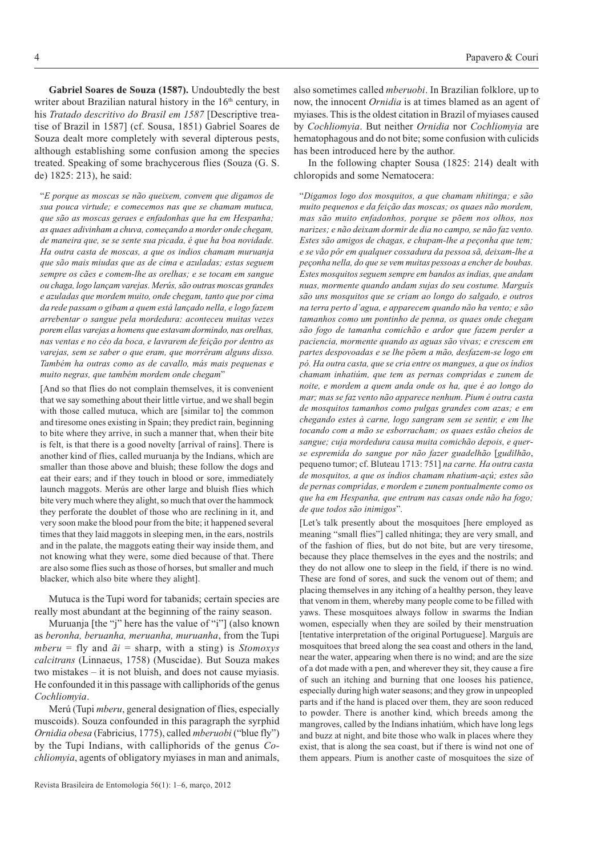**Gabriel Soares de Souza (1587).** Undoubtedly the best writer about Brazilian natural history in the  $16<sup>th</sup>$  century, in his *Tratado descritivo do Brasil em 1587* [Descriptive treatise of Brazil in 1587] (cf. Sousa, 1851) Gabriel Soares de Souza dealt more completely with several dipterous pests, although establishing some confusion among the species treated. Speaking of some brachycerous flies (Souza (G. S. de) 1825: 213), he said:

"*E porque as moscas se não queixem, convem que digamos de sua pouca virtude; e comecemos nas que se chamam mutuca, que são as moscas geraes e enfadonhas que ha em Hespanha; as quaes adivinham a chuva, começando a morder onde chegam, de maneira que, se se sente sua picada, é que ha boa novidade. Ha outra casta de moscas, a que os indios chamam muruanja que são mais miudas que as de cima e azuladas; estas seguem sempre os cães e comem-lhe as orelhas; e se tocam em sangue ou chaga, logo lançam varejas. Merús, são outras moscas grandes e azuladas que mordem muito, onde chegam, tanto que por cima da rede passam o gibam a quem está lançado nella, e logo fazem arrebentar o sangue pela mordedura: aconteceu muitas vezes porem ellas varejas a homens que estavam dormindo, nas orelhas, nas ventas e no céo da boca, e lavrarem de feição por dentro as varejas, sem se saber o que eram, que morrêram alguns disso. Também ha outras como as de cavallo, más mais pequenas e muito negras, que também mordem onde chegam*"

[And so that flies do not complain themselves, it is convenient that we say something about their little virtue, and we shall begin with those called mutuca, which are [similar to] the common and tiresome ones existing in Spain; they predict rain, beginning to bite where they arrive, in such a manner that, when their bite is felt, is that there is a good novelty [arrival of rains]. There is another kind of flies, called muruanja by the Indians, which are smaller than those above and bluish; these follow the dogs and eat their ears; and if they touch in blood or sore, immediately launch maggots. Merús are other large and bluish flies which bite very much where they alight, so much that over the hammock they perforate the doublet of those who are reclining in it, and very soon make the blood pour from the bite; it happened several times that they laid maggots in sleeping men, in the ears, nostrils and in the palate, the maggots eating their way inside them, and not knowing what they were, some died because of that. There are also some flies such as those of horses, but smaller and much blacker, which also bite where they alight].

Mutuca is the Tupi word for tabanids; certain species are really most abundant at the beginning of the rainy season.

Muruanja [the "j" here has the value of "i"] (also known as *beronha, beruanha, meruanha, muruanha*, from the Tupi  $mberu = fly$  and  $\tilde{a}i = sharp$ , with a sting) is *Stomoxys calcitrans* (Linnaeus, 1758) (Muscidae). But Souza makes two mistakes – it is not bluish, and does not cause myiasis. He confounded it in this passage with calliphorids of the genus *Cochliomyia*.

Merú (Tupi *mberu*, general designation of flies, especially muscoids). Souza confounded in this paragraph the syrphid *Ornidia obesa* (Fabricius, 1775), called *mberuobi* ("blue fly") by the Tupi Indians, with calliphorids of the genus *Cochliomyia*, agents of obligatory myiases in man and animals,

also sometimes called *mberuobi*. In Brazilian folklore, up to now, the innocent *Ornidia* is at times blamed as an agent of myiases. This is the oldest citation in Brazil of myiases caused by *Cochliomyia*. But neither *Ornidia* nor *Cochliomyia* are hematophagous and do not bite; some confusion with culicids has been introduced here by the author.

In the following chapter Sousa (1825: 214) dealt with chloropids and some Nematocera:

"*Digamos logo dos mosquitos, a que chamam nhitinga; e são muito pequenos e da feição das moscas; os quaes não mordem, mas são muito enfadonhos, porque se põem nos olhos, nos narizes; e não deixam dormir de dia no campo, se não faz vento. Estes são amigos de chagas, e chupam-lhe a peçonha que tem; e se vão pôr em qualquer cossadura da pessoa sã, deixam-lhe a peçonha nella, do que se vem muitas pessoas a encher de boubas. Estes mosquitos seguem sempre em bandos as indias, que andam nuas, mormente quando andam sujas do seu costume. Marguîs são uns mosquitos que se criam ao longo do salgado, e outros na terra perto d'agua, e apparecem quando não ha vento; e são tamanhos como um pontinho de penna, os quaes onde chegam são fogo de tamanha comichão e ardor que fazem perder a paciencia, mormente quando as aguas são vivas; e crescem em partes despovoadas e se lhe põem a mão, desfazem-se logo em pó. Ha outra casta, que se cria entre os mangues, a que os índios chamam inhatiúm, que tem as pernas compridas e zunem de noite, e mordem a quem anda onde os ha, que é ao longo do mar; mas se faz vento não apparece nenhum. Pium é outra casta de mosquitos tamanhos como pulgas grandes com azas; e em chegando estes à carne, logo sangram sem se sentir, e em lhe tocando com a mão se esborracham; os quaes estão cheios de sangue; cuja mordedura causa muita comichão depois, e querse espremida do sangue por não fazer guadelhão* [*gudilhão*, pequeno tumor; cf. Bluteau 1713: 751] *na carne. Ha outra casta de mosquitos, a que os índios chamam nhatium-açú; estes são de pernas compridas, e mordem e zunem pontualmente como os que ha em Hespanha, que entram nas casas onde não ha fogo; de que todos são inimigos*".

[Let's talk presently about the mosquitoes [here employed as meaning "small flies"] called nhitinga; they are very small, and of the fashion of flies, but do not bite, but are very tiresome, because they place themselves in the eyes and the nostrils; and they do not allow one to sleep in the field, if there is no wind. These are fond of sores, and suck the venom out of them; and placing themselves in any itching of a healthy person, they leave that venom in them, whereby many people come to be filled with yaws. These mosquitoes always follow in swarms the Indian women, especially when they are soiled by their menstruation [tentative interpretation of the original Portuguese]. Marguîs are mosquitoes that breed along the sea coast and others in the land, near the water, appearing when there is no wind; and are the size of a dot made with a pen, and wherever they sit, they cause a fire of such an itching and burning that one looses his patience, especially during high water seasons; and they grow in unpeopled parts and if the hand is placed over them, they are soon reduced to powder. There is another kind, which breeds among the mangroves, called by the Indians inhatiúm, which have long legs and buzz at night, and bite those who walk in places where they exist, that is along the sea coast, but if there is wind not one of them appears. Pium is another caste of mosquitoes the size of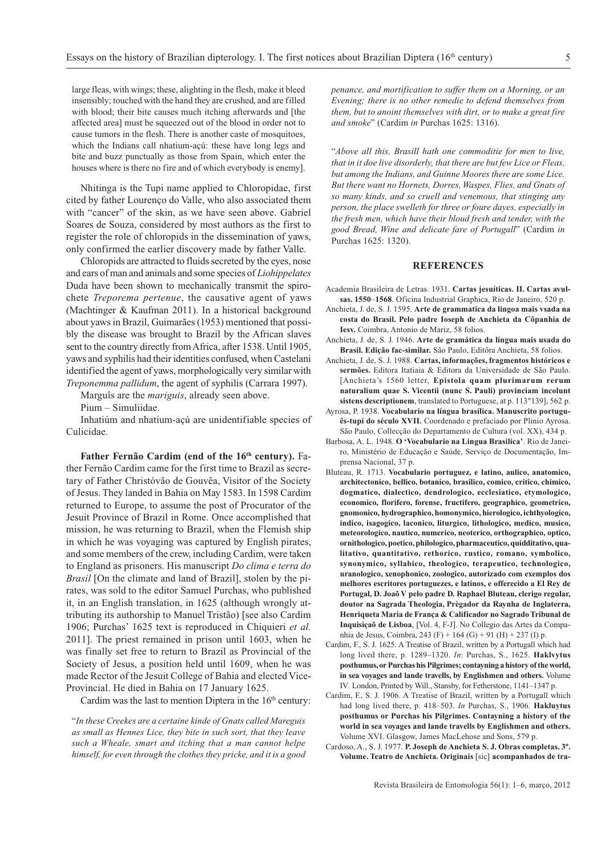large fleas, with wings; these, alighting in the flesh, make it bleed insensibly; touched with the hand they are crushed, and are filled with blood; their bite causes much itching afterwards and [the affected area] must be squeezed out of the blood in order not to cause tumors in the flesh. There is another caste of mosquitoes, which the Indians call nhatium-açú: these have long legs and bite and buzz punctually as those from Spain, which enter the houses where is there no fire and of which everybody is enemy].

Nhitinga is the Tupi name applied to Chloropidae, first cited by father Lourenço do Valle, who also associated them with "cancer" of the skin, as we have seen above. Gabriel Soares de Souza, considered by most authors as the first to register the role of chloropids in the dissemination of yaws, only confirmed the earlier discovery made by father Valle.

Chloropids are attracted to fluids secreted by the eyes, nose and ears of man and animals and some species of *Liohippelates* Duda have been shown to mechanically transmit the spirochete *Treporema pertenue*, the causative agent of yaws (Machtinger & Kaufman 2011). In a historical background about yaws in Brazil, Guimarães (1953) mentioned that possibly the disease was brought to Brazil by the African slaves sent to the country directly from Africa, after 1538. Until 1905, yaws and syphilis had their identities confused, when Castelani identified the agent of yaws, morphologically very similar with *Treponemma pallidum*, the agent of syphilis (Carrara 1997).

Marguîs are the *mariguis*, already seen above.

Pium – Simuliidae.

Inhatiúm and nhatium-açú are unidentifiable species of Culicidae.

Father Fernão Cardim (end of the 16<sup>th</sup> century). Father Fernão Cardim came for the first time to Brazil as secretary of Father Christóvão de Gouvêa, Visitor of the Society of Jesus. They landed in Bahia on May 1583. In 1598 Cardim returned to Europe, to assume the post of Procurator of the Jesuit Province of Brazil in Rome. Once accomplished that mission, he was returning to Brazil, when the Flemish ship in which he was voyaging was captured by English pirates, and some members of the crew, including Cardim, were taken to England as prisoners. His manuscript *Do clima e terra do Brasil* [On the climate and land of Brazil], stolen by the pirates, was sold to the editor Samuel Purchas, who published it, in an English translation, in 1625 (although wrongly attributing its authorship to Manuel Tristão) [see also Cardim 1906; Purchas' 1625 text is reproduced in Chiquieri *et al.* 2011]. The priest remained in prison until 1603, when he was finally set free to return to Brazil as Provincial of the Society of Jesus, a position held until 1609, when he was made Rector of the Jesuit College of Bahia and elected Vice-Provincial. He died in Bahia on 17 January 1625.

Cardim was the last to mention Diptera in the  $16<sup>th</sup>$  century:

"*In these Creekes are a certaine kinde of Gnats called Mareguis as small as Hennes Lice, they bite in such sort, that they leave such a Wheale, smart and itching that a man cannot helpe himself, for even through the clothes they pricke, and it is a good* *penance, and mortification to suffer them on a Morning, or an Evening; there is no other remedie to defend themselves from them, but to anoint themselves with dirt, or to make a great fire and smoke*" (Cardim *in* Purchas 1625: 1316).

"*Above all this, Brasill hath one commoditie for men to live, that in it doe live disorderly, that there are but few Lice or Fleas, but among the Indians, and Guinne Moores there are some Lice. But there want no Hornets, Dorres, Waspes, Flies, and Gnats of so many kinds, and so cruell and venemous, that stinging any person, the place swelleth for three or foure dayes, especially in the fresh men, which have their bloud fresh and tender, with the good Bread, Wine and delicate fare of Portugall*" (Cardim *in* Purchas 1625: 1320).

## **REFERENCES**

- Academia Brasileira de Letras. 1931. **Cartas jesuíticas. II. Cartas avulsas. 1550**–**1568**. Oficina Industrial Graphica, Rio de Janeiro, 520 p.
- Anchieta, J. de, S. J. 1595. **Arte de grammatica da lingoa mais vsada na costa do Brasil. Pelo padre Ioseph de Anchieta da Cõpanhia de Iesv.** Coimbra, Antonio de Mariz, 58 folios.
- Anchieta, J. de, S. J. 1946. **Arte de gramática da língua mais usada do Brasil. Edição fac-similar.** São Paulo, Editôra Anchieta, 58 folios.
- Anchieta, J. de, S. J. 1988. **Cartas, informações, fragmentos históricos e sermões.** Editora Itatiaia & Editora da Universidade de São Paulo. [Anchieta's 1560 letter, **Epistola quam plurimarum rerum naturalium quae S. Vicentii (nunc S. Pauli) provinciam incolunt sistens descriptionem**, translated to Portuguese, at p. 113"139], 562 p.
- Ayrosa, P. 1938. **Vocabulario na língua brasílica. Manuscrito português-tupi do século XVII.** Coordenado e prefaciado por Plinio Ayrosa. São Paulo, Collecção do Departamento de Cultura (vol. XX), 434 p.
- Barbosa, A. L. 1948. **O 'Vocabulario na Lingua Brasilica'**. Rio de Janeiro, Ministério de Educação e Saúde, Serviço de Documentação, Imprensa Nacional, 37 p.
- Bluteau, R. 1713. **Vocabulario portuguez, e latino, aulico, anatomico, architectonico, bellico, botanico, brasilico, comico, critico, chimico, dogmatico, dialectico, dendrologico, ecclesiatico, etymologico, economico, florifero, forense, fructifero, geographico, geometrico, gnomonico, hydrographico, homonymico, hierologico, ichthyologico, indico, isagogico, laconico, liturgico, lithologico, medico, musico, meteorologico, nautico, numerico, neoterico, orthographico, optico, ornithologico, poetico, philologico, pharmaceutico, quidditativo, qualitativo, quantitativo, rethorico, rustico, romano, symbolico, synonymico, syllabico, theologico, terapeutico, technologico, uranologico, xenophonico, zoologico, autorizado com exemplos dos melhores escritores portuguezes, e latinos, e offerecido a El Rey de Portugal, D. Joaõ V pelo padre D. Raphael Bluteau, clerigo regular, doutor na Sagrada Theologia, Prègador da Raynha de Inglaterra, Henriqueta Maria de França & Calificador no Sagrado Tribunal de Inquisiçaõ de Lisboa**, [Vol. 4, F-J]. No Collegio das Artes da Companhia de Jesus, Coimbra, 243 (F) + 164 (G) + 91 (H) + 237 (I) p.
- Cardim, F., S. J. 1625. A Treatise of Brazil, written by a Portugall which had long lived there, p. 1289–1320. *In*: Purchas, S., 1625. **Haklvytus posthumus, or Purchas his Pilgrimes; contayning a history of the world, in sea voyages and lande travells, by Englishmen and others.** Volume IV*.* London, Printed by Will., Stansby, for Fetherstone, 1141–1347 p.
- Cardim, F., S. J. 1906. A Treatise of Brazil, written by a Portugall which had long lived there, p. 418–503. *In* Purchas, S., 1906. **Hakluytus posthumus or Purchas his Pilgrimes. Contayning a history of the world in sea voyages and lande travells by Englishmen and others.** Volume XVI. Glasgow, James MacLehose and Sons, 579 p.
- Cardoso, A., S. J. 1977. **P. Joseph de Anchieta S. J. Obras completas. 3º. Volume. Teatro de Anchieta. Originais** [sic] **acompanhados de tra-**